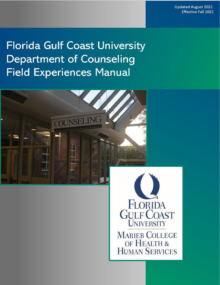# **Florida Gulf Coast University Department of Counseling Field Experiences Manual**





**MARIEB COLLEGE** OF HEALTH & **HUMAN SERVICES**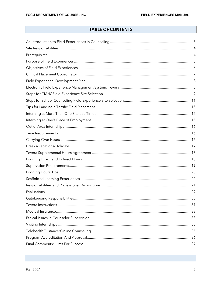# **TABLE OF CONTENTS**

<span id="page-1-0"></span>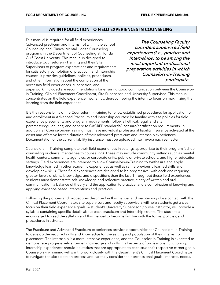# **AN INTRODUCTION TO FIELD EXPERIENCES IN COUNSELING**

This manual is required for all field experiences (advanced practicum and internship) within the School Counseling and Clinical Mental Health Counseling programs in the Department of Counseling at Florida Gulf Coast University. This manual is designed to introduce Counselors-in-Training and their Site Supervisors to program expectations and requirements for satisfactory completion of practicum and internship courses. It provides guidelines, policies, procedures, and other information about the completion of the necessary field experiences, supervision, and

The Counseling Faculty considers supervised field experiences (i.e., practica and internships) to be among the most important professional preparation activities in which Counselors-in-Training participate.

paperwork. Included are recommendations for ensuring good communication between the Counselorin-Training, Clinical Placement Coordinator, Site Supervisor, and University Supervisor. This manual concentrates on the field experience mechanics, thereby freeing the intern to focus on maximizing their learning from the field experience.

It is the responsibility of the Counselor-in-Training to follow established procedures for application for and enrollment in Advanced Practicum and Internship courses; be familiar with site policies for field experience placements and program requirements; follow all ethical, legal, and site parameters/guidelines; and adhere to CACREP standards/licensure/certification requirements. In addition, all Counselors-in-Training must have individual professional liability insurance activated at the onset and effective for the duration of their advanced practicum and internship experiences. Documentation of the current liability insurance must be uploaded into Tevera each semester.

Counselors-in-Training complete their field experiences in settings appropriate to their program (school counseling or clinical mental health counseling). These may include community settings such as mental health centers, community agencies, or corporate units; public or private schools; and higher education settings. Field experiences are intended to allow Counselors-in-Training to synthesize and apply knowledge learned in other academic experiences as well as refine previously learned skills and develop new skills. These field experiences are designed to be progressive, with each one requiring greater levels of skills, knowledge, and dispositions than the last. Throughout these field experiences, students must demonstrate self-knowledge and reflective practice, clarity of written and oral communication, a balance of theory and the application to practice, and a combination of knowing and applying evidence-based interventions and practices.

Following the policies and procedures described in this manual and maintaining close contact with the Clinical Placement Coordinator, site supervisors and faculty supervisors will help students get a clear focus on their field experience goals. A student's University Supervisor (course instructor) will provide a syllabus containing specific details about each practicum and internship course. The student is encouraged to read the syllabus and this manual to become familiar with the forms, policies, and procedures in advance.

The Practicum and Advanced Practicum experiences provide opportunities for Counselors-in-Training to develop the required skills and knowledge for the setting and population of their internship placement. The Internship is a more intensive experience, and the Counselor-in-Training is expected to demonstrate progressively stronger knowledge and skills in all aspects of professional functioning. Internship experiences should be at sites that are appropriate to each student's respective career goals. Counselors-in-Training will want to work closely with the department's Clinical Placement Coordinator to navigate the site selection process and carefully consider their professional goals, interests, needs,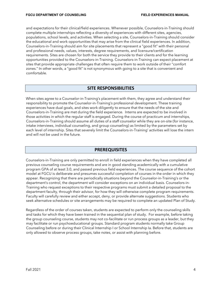and expectations for their clinical/field experiences. Whenever possible, Counselors-in-Training should complete multiple internships reflecting a diversity of experiences with different sites, agencies, populations, school levels, and activities. When selecting a site, Counselors-in-Training should consider the educational and work opportunities that may arise from the clinical field experiences. In addition, Counselors-in-Training should aim for site placements that represent a "good fit" with their personal and professional needs, values, interests, degree requirements, and licensure/certification requirements. Sites are chosen for both the service they provide to their clients and for the learning opportunities provided to the Counselors-in-Training. Counselors-in-Training can expect placement at sites that provide appropriate challenges that often require them to work outside of their "comfort zones." In other words, a "good fit" is not synonymous with going to a site that is convenient and comfortable.

### **SITE RESPONSIBILITIES**

<span id="page-3-0"></span>When sites agree to a Counselor-in-Training's placement with them, they agree and understand their responsibility to promote the Counselor-in-Training's professional development. These training experiences have dual goals, and sites work diligently to ensure that the needs of the site and Counselors-in-Training are met during the field experience. Interns are expected to be involved in those activities in which the regular staff is engaged. During the course of practicum and internships, Counselors-in-Training should assume all duties of a staff counselor while they are on-site (for instance, intake interviews, individual counseling, and group counseling) as limited by the parameters set by each level of internship. Sites that severely limit the Counselors-in-Training' activities will lose the intern and will not be used in the future.

# **PREREQUISITES**

<span id="page-3-1"></span>Counselors-in-Training are only permitted to enroll in field experiences when they have completed all previous counseling course requirements and are in good standing academically with a cumulative program GPA of at least 3.0, and passed previous field experiences. The course sequence of the cohort model at FGCU is deliberate and presumes successful completion of courses in the order in which they appear. Recognizing that there are periodically situations beyond the Counselor-in-Training's or the department's control, the department will consider exceptions on an individual basis. Counselors-in-Training who request exceptions to their respective programs must submit a detailed proposal to the department faculty, through their advisor, for how they will otherwise complete program requirements. Faculty will carefully review and either accept, deny, or provide alternate suggestions. Students who seek alternative schedules or site arrangements may be required to complete an updated Plan of Study.

Regardless of the order of courses taken, students are expected to perform only the counseling skills and tasks for which they have been trained in the sequential plan of study. For example, before taking the group counseling course, students may not co-facilitate or run process groups as a leader, but they may facilitate or run psychoeducational groups. Standard program students normally take Group Counseling before or during their Clinical Internship I or School Internship Ia. Before that, students are only allowed to observe process groups, take notes, or assist with planning before.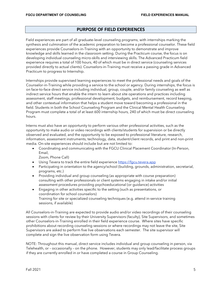### **PURPOSE OF FIELD EXPERIENCES**

<span id="page-4-0"></span>Field experiences are part of all graduate-level counseling programs, with internships marking the synthesis and culmination of the academic preparation to become a professional counselor. These field experiences provide Counselors-in-Training with an opportunity to demonstrate and improve knowledge and skills learned in the classroom setting. During the Practicum course, the focus is on developing individual counseling micro-skills and interviewing skills. The Advanced Practicum field experience requires a total of 100 hours, 40 of which must be in direct service (counseling services provided directly to actual clients). Counselors-in-Training must receive a passing grade in Advanced Practicum to progress to Internship.

Internships provide supervised learning experiences to meet the professional needs and goals of the Counselor-in-Training while providing a service to the school or agency. During internships, the focus is on face-to-face direct service including individual, group, couple, and/or family counseling as well as indirect service hours that enable the intern to learn about site operations and practices including assessment, staff meetings, professional development, budgets, and reimbursement, record keeping, and other contextual information that helps a student move toward becoming a professional in the field. Students in both the School Counseling Program and the Clinical Mental Health Counseling Program must complete a total of at least 600 internship hours, 240 of which must be direct counseling hours.

Interns must also have an opportunity to perform various other professional activities, such as the opportunity to make audio or video recordings with clients/students for supervision or be directly observed and evaluated, and the opportunity to be exposed to professional literature, research, information, assessment instruments, technology, data, student/client records, and print and non-print media. On-site experiences should include but are not limited to:

• Coordinating and communicating with the FGCU Clinical Placement Coordinator (In-Person, Email,

Zoom, Phone Call)

- Using Tevera to track the entire field experience [https://fgcu.tevera.app](https://fgcu.tevera.app/)
- Participating in orientation to the agency/school (building, grounds, administration, secretarial, programs, etc.)
- Providing individual and group counseling (as appropriate with course preparation) consulting with other professionals or client systems engaging in intake and/or initial assessment procedures providing psychoeducational (or guidance) activities
- Engaging in other activities specific to the setting (such as presentations, or coordination for school counselors) Training for site or specialized counseling techniques (e.g. attend in-service training sessions, if available)

All Counselors-in-Training are expected to provide audio and/or video recordings of their counseling sessions with clients for review by their University Supervisors (faculty), Site Supervisors, and sometimes other Counselors-in-Training enrolled in their field experience course. Where sites have specific prohibitions about recording counseling sessions or where recordings may not leave the site, Site Supervisors are asked to perform five live observations each semester. The site supervisor will complete and sign the live observation form using Tevera.

NOTE: Throughout this manual, direct service includes individual and group counseling in person, via Telehealth, or – occasionally – on the phone. However, students may only lead/facilitate process groups if they are currently enrolled in or have completed a course in Group Counseling.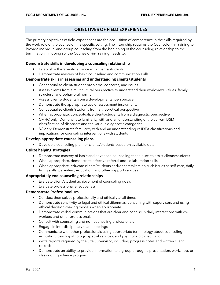# **OBJECTIVES OF FIELD EXPERIENCES**

<span id="page-5-0"></span>The primary objectives of field experiences are the acquisition of competence in the skills required by the work role of the counselor in a specific setting. The internship requires the Counselor-in-Training to Provide individual and group counseling from the beginning of the counseling relationship to the termination. In doing so, the Counselor-in-Training needs to:

### **Demonstrate skills in developing a counseling relationship**

- Establish a therapeutic alliance with clients/students
- Demonstrate mastery of basic counseling and communication skills

### **Demonstrate skills in assessing and understanding clients/students**

- Conceptualize client/student problems, concerns, and issues
- Assess clients from a multicultural perspective to understand their worldview, values, family structure, and behavioral norms
- Assess clients/students from a developmental perspective
- Demonstrate the appropriate use of assessment instruments
- Conceptualize clients/students from a theoretical perspective
- When appropriate, conceptualize clients/students from a diagnostic perspective
- CMHC only: Demonstrate familiarity with and an understanding of the current DSM classification of disorders and the various diagnostic categories
- SC only: Demonstrate familiarity with and an understanding of IDEA classifications and implications for counseling interventions with students

### **Develop appropriate counseling plans**

• Develop a counseling plan for clients/students based on available data

### **Utilize helping strategies**

- Demonstrate mastery of basic and advanced counseling techniques to assist clients/students
- When appropriate, demonstrate effective referral and collaboration skills
- When appropriate, educate clients/students and/or caretakers on such issues as self-care, daily living skills, parenting, education, and other support services

### **Appropriately end counseling relationships**

- Evaluate client/student achievement of counseling goals
- Evaluate professional effectiveness

### **Demonstrate Professionalism**

- Conduct themselves professionally and ethically at all times
- Demonstrate sensitivity to legal and ethical dilemmas, consulting with supervisors and using ethical decision-making models when appropriate
- Demonstrate verbal communications that are clear and concise in daily interactions with coworkers and other professionals
- Consult with counseling and non-counseling professionals
- Engage in interdisciplinary team meetings
- Communicate with other professionals using appropriate terminology about counseling, education, psychopathology, special services, and psychotropic medication
- Write reports required by the Site Supervisor, including progress notes and written client records
- Demonstrate an ability to provide information to a group through a presentation, workshop, or classroom guidance program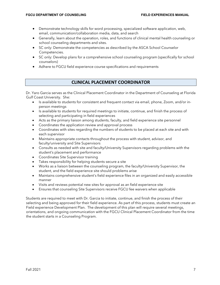- Demonstrate technology skills for word processing, specialized software application, web, email, communication/collaboration media, data, and search
- Generally, learn about the operation, roles, and functions of clinical mental health counseling or school counseling departments and sites.
- SC only: Demonstrate the competencies as described by the [ASCA School Counselor](http://www.schoolcounselor.org/files/sccompetencies.pdf)  [Competencies.](http://www.schoolcounselor.org/files/sccompetencies.pdf)
- SC only: Develop plans for a comprehensive school counseling program (specifically for school counselors)
- Adhere to FGCU field experience course specifications and requirements

# **CLINICAL PLACEMENT COORDINATOR**

<span id="page-6-0"></span>Dr. Yaro Garcia serves as the Clinical Placement Coordinator in the Department of Counseling at Florida Gulf Coast University. She:

- Is available to students for consistent and frequent contact via email, phone, Zoom, and/or inperson meetings
- Is available to students for required meetings to initiate, continue, and finish the process of selecting and participating in field experiences
- Acts as the primary liaison among students, faculty, and field experience site personnel
- Coordinates the application review and approval process
- Coordinates with sites regarding the numbers of students to be placed at each site and with each supervisor
- Maintains appropriate contacts throughout the process with student, advisor, and faculty/university and Site Supervisors
- Consults as needed with site and faculty/University Supervisors regarding problems with the student's placement and performance
- Coordinates Site Supervisor training
- Takes responsibility for helping students secure a site
- Works as a liaison between the counseling program, the faculty/University Supervisor, the student, and the field experience site should problems arise
- Maintains comprehensive student's field experience files in an organized and easily accessible manner
- Visits and reviews potential new sites for approval as an field experience site
- Ensures that counseling Site Supervisors receive FGCU fee waivers when applicable

Students are required to meet with Dr. Garcia to initiate, continue, and finish the process of their selecting and being approved for their field experience. As part of this process, students must create an Field experience Development Plan. The development of this plan will require several meetings, orientations, and ongoing communication with the FGCU Clinical Placement Coordinator from the time the student starts in a Counseling Program.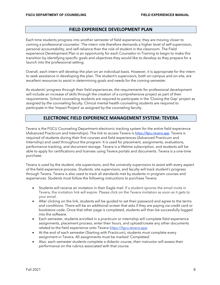### **FIELD EXPERIENCE DEVELOPMENT PLAN**

<span id="page-7-0"></span>Each time students progress into another semester of field experience, they are moving closer to coming a professional counselor. The intern role therefore demands a higher level of self-supervision, personal accountability, and self-reliance than the role of student in the classroom. The Field experience Development Plan is an opportunity for each Counselor-in-Training to begin to make this transition by identifying specific goals and objectives they would like to develop as they prepare for a launch into the professional setting.

Overall, each intern will develop the plan on an individual basis. However, it is appropriate for the intern to seek assistance in developing the plan. The student's supervisors, both on-campus and on-site, are excellent resources to assist in determining goals and needs for the coming semester.

As students' progress through their field experiences, the requirements for professional development will include an increase of skills through the creation of a comprehensive project as part of their requirements. School counseling students are required to participate in the 'Closing the Gap' project as assigned by the counseling faculty. Clinical mental health counseling students are required to participate in the 'Impact Project' as assigned by the counseling faculty.

# **ELECTRONIC FIELD EXPERIENCE MANAGEMENT SYSTEM: TEVERA**

<span id="page-7-1"></span>Tevera is the FGCU Counseling Department electronic tracking system for the entire field experience (Advanced Practicum and Internships). The link to access Tevera is [https://fgcu.tevera.app](https://fgcu.tevera.app/). Tevera is required of students during their first courses and field experiences (Advanced Practicum and Internship) and used throughout the program. It is used for placement, assignments, evaluations, performance tracking, and document storage. Tevera is a lifetime subscription, and students will be able to apply for certifications and licenses using Tevera portals and documents. Tevera is a one-time purchase.

Tevera is used by the student, site supervisors, and the university supervisors to assist with every aspect of the field experience process. Students, site supervisors, and faculty will track student's progress through Tevera. Tevera is also used to track all standards met by students in program courses and experiences. Students must follow the following instructions to purchase Tevera:

- Students will receive an invitation in their Eagle mail. If a student ignores the email invite in Tevera, the invitation link will expire. Please click on the Tevera invitation as soon as it gets to your email.
- After clicking on the link, students will be guided to set their password and agree to the terms and conditions. There will be an additional screen that asks if they are paying via credit card or bookstore code. Once that other page is completed, students will then be successfully logged into the software.
- Each semester, students enrolled in a practicum or internship will complete field experience assignments, placement process, enter their hours, and upload/create any other documents related to the field experience onto Tevera [https://fgcu.tevera.app](https://fgcu.tevera.app/)
- At the end of each semester (Starting with Practicum), students must complete every assignment in Tevera. All assignments must be marked 'Completed.'
- Also, each semester students complete a didactic course, their instructor will assess their performance on the rubrics associated with that course.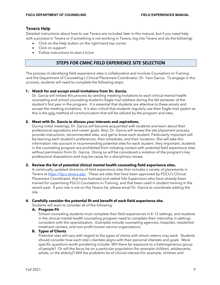# **Tevera Help**

Detailed instructions about how to use Tevera are included later in this manual, but if you need help with a process in Tevera or if something is not working in Tevera, log into Tevera and do the following:

- Click on the Help button on the right-hand top corner
- Click on support
- <span id="page-8-0"></span>• Follow instructions to start a ticket

# **STEPS FOR CMHC FIELD EXPERIENCE SITE SELECTION**

The process of identifying field experience sites is collaborative and involves Counselors-in-Training and the Department of Counseling's Clinical Placement Coordinator, Dr. Yaro Garcia. To engage in this process, students will need to complete the following steps:

### **1. Watch for and accept email invitations from Dr. Garcia.**

Dr. Garcia will initiate this process by sending meeting invitations to each clinical mental health counseling and school counseling student's Eagle mail address during the fall semester of the student's first year in the program. It is essential that students are attentive to these emails and accept the meeting invitations. It is also critical that students regularly use their Eagle mail system as this is the only method of communication that will be utilized by the program and sites.

### **2. Meet with Dr. Garcia to discuss your interests and aspirations.**

During initial meetings, Dr. Garcia will become acquainted with students and learn about their professional aspirations and career goals. Also, Dr. Garcia will review the site placement process, provide instructions, recommended sites, and get to know each student. Particularly important will be learning each student's preferences, their schedules, and their locations. She will take this information into account in recommending potential sites for each student. Very important, students in the counseling program are prohibited from initiating contact with potential field experience sites without permission from Dr. Garcia. Doing so will be considered a violation of the program's key professional dispositions and may be cause for a disciplinary review.

### **3. Review the list of potential clinical mental health counseling field experience sites.**

A continually updated directory of field experience sites that includes a variety of placements in Tevera a[t https://fgcu.tevera.app](https://fgcu.tevera.app/)[.](https://fgcu.clinicaltm.com/) These are sites that have been approved by FGCU's Clinical Placement Coordinator, that have licensed and vetted Site Supervisors who have already been trained for supervising FGCU Counselors-in-Training, and that been used in student training in the recent past. If your site is not on the Tevera list, please email Dr. Garcia to coordinate adding the site.

### **4. Carefully consider the potential fit and benefit of each field experience site.**

Students will want to consider all of the following:

### **A. Program Fit**

School counseling students must complete their field experiences in K-12 settings, and students in the clinical mental health counseling program need to complete their internship in settings consistent with this specialization. Examples include counseling agencies, hospitals, residential treatment centers, and non-profit human service organizations.

### **B. Types of Clients**

Potential sites will vary with regard to the types of clients with whom interns may work. Students should consider how each site's clientele aligns with their personal interests and goals. More specific questions worth pondering include: Will there be exposure to a heterogeneous group of people? Or will the focus be on a particular population (for example children, adolescents, adults, or the elderly)? Will the problems be of clinical interest (for example, children and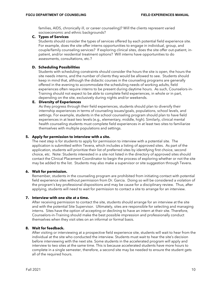families, AIDS, chronically ill, or career counseling)? Will the clients represent varied socioeconomic and ethnic backgrounds?

### **C. Types of Services**

Students should consider the types of services offered by each potential field experience site. For example, does the site offer interns opportunities to engage in individual, group, and couple/family counseling services? If exploring clinical sites, does the site offer out-patient, inpatient, and/or residential treatment options? Will interns have opportunities to do assessments, consultations, etc.?

### **D. Scheduling Possibilities**

Students with scheduling constraints should consider the hours the site is open, the hours the site needs interns, and the number of clients they would be allowed to see. Students should keep in mind that, although the didactic courses in the counseling programs are generally offered in the evening to accommodate the scheduling needs of working adults, field experiences often require interns to be present during daytime hours. As such, Counselors-in-Training should not expect to be able to complete field experiences, in whole or in part, depending on the site, exclusively during nights and/or weekends.

### **E. Diversity of Experiences**

As they progress through their field experiences, students should plan to diversify their internship experiences in terms of counseling issues/goals, populations, school levels, and settings. For example, students in the school counseling program should plan to have field experiences in at least two levels (e.g., elementary, middle, high). Similarly, clinical mental health counseling students must complete field experiences in at least two sites to familiarize themselves with multiple populations and settings.

### **5. Apply for permission to interview with a site.**

The next step is for students to apply for permission to interview with a potential site. The application is submitted within Tevera, which includes a listing of approved sites. As part of the application, students will prioritize their list of preferred sites by identifying first choice, second choice, etc. Note: Students interested in a site not listed in the directory of approved sites should contact the Clinical Placement Coordinator to begin the process of exploring whether or not the site may be added to the list. Students may also make a supervisor or site suggestion through Tevera.

### **6. Wait for permission.**

Remember, students in the counseling program are prohibited from initiating contact with potential field experience sites without permission from Dr. Garcia. Doing so will be considered a violation of the program's key professional dispositions and may be cause for a disciplinary review. Thus, after applying, students will need to wait for permission to contact a site to arrange for an interview.

### **7. Interview with one site at a time.**

After receiving permission to contact the site, students should arrange for an interview at the site and with the potential Site Supervisor. Ultimately, sites are responsible for selecting and managing interns. Sites have the option of accepting or declining to have an intern at their site. Therefore, Counselors-in-Training should make the best possible impression and professionally conduct themselves when they visit sites on an informal or formal basis.

### **8. Wait for feedback.**

After visiting or interviewing at a prospective field experience site, students will wait to hear from the individual at the site who conducted the interview. Students must wait to hear the site's decision before interviewing with the next site. Some students in the accelerated program will apply and interview to two sites at the same time. This is because accelerated students have more hours to complete in a single semester, therefore, a second site may be needed to ensure the student gets all of the required hours.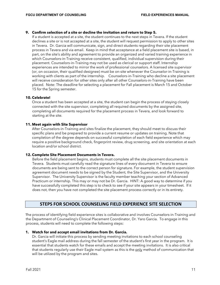### **9. Confirm selection of a site or decline the invitation and return to Step 5.**

If a student is accepted at a site, the student continues to the next steps in Tevera. If the student declines a site or is not accepted at a site, the student will request permission to apply to other sites in Tevera. Dr. Garcia will communicate, sign, and direct students regarding their site placement process in Tevera and via email. Keep in mind that acceptance at a field placement site is based, in part, on the site's ability and agreement to provide an organized and varied training experience in which Counselors-in-Training receive consistent, qualified, individual supervision during their placement. Counselors-in-Training may not be used as clerical or support staff. Internship experiences are intended to mirror the work of professional counselors. A licensed site supervisor (or, on occasion, their qualified designee) must be on-site whenever the Counselor-in-Training is working with clients as part of the internship. Counselors-in-Training who decline a site placement will receive consideration for other sites only after all other Counselors-in-Training have been placed. Note: The deadline for selecting a placement for Fall placement is March 15 and October 15 for the Spring semester.

### **10. Celebrate!**

Once a student has been accepted at a site, the student can begin the process of staying closely connected with the site supervisor, completing all required documents by the assigned site, completing all documents required for the placement process in Tevera, and look forward to starting at the site.

### **11. Meet again with Site Supervisor**

After Counselors-in-Training and sites finalize the placement, they should meet to discuss their specific plans and be prepared to provide a current resume or updates on training. Note that completion of the degree depends on successful completion of each field experience which may require a positive background check, fingerprint review, drug screening, and site orientation at each location and/or school district.

### **12. Complete Site Placement Documents in Tevera.**

Before the field placement begins, students must complete all the site placement documents in Tevera. Students must carefully read the signature lines of every document in Tevera to ensure documents are being sent to the correct person for signature. For example, the student supervision agreement document needs to be signed by the Student, the Site Supervisor, and the University Supervisor. The University Supervisor is the faculty member teaching your section of Advanced Practicum or internship. This may or may not be Dr. Garcia. HINT: A good way to determine if you have successfully completed this step is to check to see if your site appears in your timesheet. If it does not, then you have not completed the site placement process correctly or in its entirety.

# **STEPS FOR SCHOOL COUNSELING FIELD EXPERIENCE SITE SELECTION**

<span id="page-10-0"></span>The process of identifying field experience sites is collaborative and involves Counselors-in-Training and the Department of Counseling's Clinical Placement Coordinator, Dr. Yaro Garcia. To engage in this process, students will need to complete the following steps:

### **1. Watch for and accept email invitations from Dr. Garcia.**

Dr. Garcia will initiate this process by sending meeting invitations to each school counseling student's Eagle mail address during the fall semester of the student's first year in the program. It is essential that students watch for these emails and accept the meeting invitations. It is also critical that students regularly use their Eagle mail system as this is the only method of communication that will be utilized by the program and sites.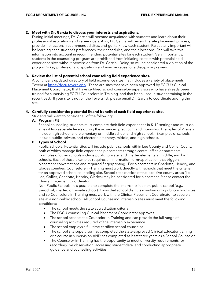### **2. Meet with Dr. Garcia to discuss your interests and aspirations.**

During initial meetings, Dr. Garcia will become acquainted with students and learn about their professional aspirations and career goals. Also, Dr. Garcia will review the site placement process, provide instructions, recommended sites, and get to know each student. Particularly important will be learning each student's preferences, their schedules, and their locations. She will take this information into account in recommending potential sites for each student. Very importantly, students in the counseling program are prohibited from initiating contact with potential field experience sites without permission from Dr. Garcia. Doing so will be considered a violation of the program's key professional dispositions and may be cause for a disciplinary review.

### **3. Review the list of potential school counseling field experience sites.**

A continually updated directory of field experience sites that includes a variety of placements in Tevera a[t https://fgcu.tevera.app](https://fgcu.tevera.app/)[.](https://fgcu.clinicaltm.com/) These are sites that have been approved by FGCU's Clinical Placement Coordinator, that have certified school counselor-supervisors who have already been trained for supervising FGCU Counselors-in-Training, and that been used in student training in the recent past. If your site is not on the Tevera list, please email Dr. Garcia to coordinate adding the site.

### **4. Carefully consider the potential fit and benefit of each field experience site.**

Students will want to consider all of the following:

### **A. Program Fit**

School counseling students must complete their field experiences in K-12 settings and must do at least two separate levels during the advanced practicum and internship. Examples of 2 levels include high school and elementary or middle school and high school. Examples of schools include public, private, and charter elementary, middle, and high schools.

### **B. Types of School**

Public Schools: Potential sites will include public schools within Lee County and Collier County, both of which manage field experience placements through central office departments. Examples of other schools include public, private, and charter elementary, middle, and high schools. Each of these examples requires an information form/application that triggers placement conversations and required fingerprinting. For placements in Charlotte, Hendry, and Glades counties, Counselors-in-Training must work directly with schools that meet the criteria for an approved school counseling site. School sites outside of the local five-county areas (i.e., Lee, Collier, Charlotte, Hendry, Glades) may be considered for placement. Please contact the Clinical Placement Coordinator.

Non-Public Schools: It is possible to complete the internship in a non-public school (e.g., parochial, charter, or private school). Know that school districts maintain only public-school sites and so Counselors-in-Training must work with the Clinical Placement Coordinator to secure a site at a non-public school. All School Counseling Internship sites must meet the following conditions:

- The school meets the state accreditation criteria
- The FGCU counseling Clinical Placement Coordinator approves
- The school accepts the Counselor-in-Training and can provide the full range of counseling activities required of the internship experience
- The school employs a full-time certified school counselor
- The school site supervisor has completed the state-approved Clinical Educator training or a course in supervision AND has completed at least three years as a School Counselor
- The Counselor-in-Training has the opportunity to meet university requirements for recording/live observation, accessing student data, and conducting appropriate guidance and counseling activities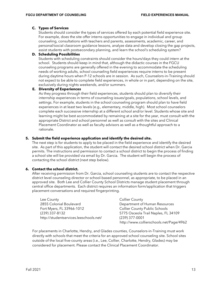### **C. Types of Services**

Students should consider the types of services offered by each potential field experience site. For example, does the site offer interns opportunities to engage in individual and group counseling, consultations with teachers and parents, assessments, academic, career, and personal/social classroom guidance lessons, analyze data and develop closing the gap projects, assist students with postsecondary planning, and learn the school's scheduling system?

### **D. Scheduling Possibilities**

Students with scheduling constraints should consider the hours/days they could intern at the school. Students should keep in mind that, although the didactic courses in the FGCU counseling programs are generally offered in the evening to accommodate the scheduling needs of working adults, school counseling field experiences require interns to be present during daytime hours when P-12 schools are in session. As such, Counselors-in-Training should not expect to be able to complete field experiences, in whole or in part, depending on the site, exclusively during nights weekends, and/or summers.

### **E. Diversity of Experiences**

As they progress through their field experiences, students should plan to diversify their internship experiences in terms of counseling issues/goals, populations, school levels, and settings. For example, students in the school counseling program should plan to have field experiences in at least two levels (e.g., elementary, middle, high). Most school counselors complete each successive internship at a different school and/or level. Students whose site and learning might be best accommodated by remaining at a site for the year, must consult with the appropriate District and school personnel as well as consult with the sites and Clinical Placement Coordinator as well as faculty advisors as well as a thoughtful approach to a rationale.

### **5. Submit the field experience application and identify the desired site.**

The next step is for students to apply to be placed in the field experience and identify the desired site. As part of this application, the student will contact the desired school district when Dr. Garcia permits. The instructions and permission to contact a school district to begin the process of finding a school site will be provided via email by Dr. Garcia. The student will begin the process of contacting the school district (next step below).

### **6. Contact the school district.**

After receiving permission from Dr. Garcia, school counseling students are to contact the respective district level counseling director or school-based personnel, as appropriate, to be placed in an approved site. Both Lee and Collier County School Districts manage student placement through central office departments. Each district requires an information form/application that triggers placement conversations and required fingerprinting.

| Lee County                             | <b>Collier County</b>                   |
|----------------------------------------|-----------------------------------------|
| 2855 Colonial Boulevard                | Department of Human Resources           |
| Fort Myers, FL 33966-1012              | <b>Collier County Public Schools</b>    |
| (239) 337-8132                         | 5775 Osceola Trail Naples, FL 34109     |
| http://studentservices.leeschools.net/ | $(239)$ 377-0001                        |
|                                        | http://www.collierschools.net/Page/4962 |

For placements in Charlotte, Hendry, and Glades counties, Counselors-in-Training must work directly with schools that meet the criteria for an approved school counseling site. School sites outside of the local five-county areas (i.e., Lee, Collier, Charlotte, Hendry, Glades) may be considered for placement. Please contact the Clinical Placement Coordinator.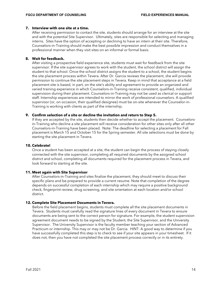### **7. Interview with one site at a time.**

After receiving permission to contact the site, students should arrange for an interview at the site and with the potential Site Supervisor. Ultimately, sites are responsible for selecting and managing interns. Sites have the option of accepting or declining to have an intern at their site. Therefore, Counselors-in-Training should make the best possible impression and conduct themselves in a professional manner when they visit sites on an informal or formal basis.

### **8. Wait for feedback.**

After visiting a prospective field experience site, students must wait for feedback from the site supervisor. If the site supervisor agrees to work with the student, the school district will assign the student to that school. Once the school district assigns the student to a school, the student begins the site placement process within Tevera. After Dr. Garcia reviews the placement, she will provide permission to continue the site placement steps in Tevera. Keep in mind that acceptance at a field placement site is based, in part, on the site's ability and agreement to provide an organized and varied training experience in which Counselors-in-Training receive consistent, qualified, individual supervision during their placement. Counselors-in-Training may not be used as clerical or support staff. Internship experiences are intended to mirror the work of professional counselors. A qualified supervisor (or, on occasion, their qualified designee) must be on-site whenever the Counselor-in-Training is working with clients as part of the internship.

### **9. Confirm selection of a site or decline the invitation and return to Step 5.**

If they are accepted by the site, students then decide whether to accept the placement. Counselorsin-Training who decline a site placement will receive consideration for other sites only after all other Counselors-in-Training have been placed. Note: The deadline for selecting a placement for Fall placement is March 15 and October 15 for the Spring semester. All site selections must be done by starting the site placement in Tevera.

### **10. Celebrate!**

Once a student has been accepted at a site, the student can begin the process of staying closely connected with the site supervisor, completing all required documents by the assigned school district and school, completing all documents required for the placement process in Tevera, and look forward to starting at the site.

### **11. Meet again with Site Supervisor**

After Counselors-in-Training and sites finalize the placement, they should meet to discuss their specific plans and be prepared to provide a current resume. Note that completion of the degree depends on successful completion of each internship which may require a positive background check, fingerprint review, drug screening, and site orientation at each location and/or school district.

### **12. Complete Site Placement Documents in Tevera.**

Before the field placement begins, students must complete all the site placement documents in Tevera. Students must carefully read the signature lines of every document in Tevera to ensure documents are being sent to the correct person for signature. For example, the student supervision agreement document needs to be signed by the Student, the Site Supervisor, and the University Supervisor. The University Supervisor is the faculty member teaching your section of Advanced Practicum or internship. This may or may not be Dr. Garcia. HINT: A good way to determine if you have successfully completed this step is to check to see if your site appears in your timesheet. If it does not, then you have not completed the site placement process correctly or in its entirety.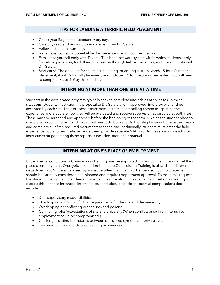### **TIPS FOR LANDING A TERRIFIC FIELD PLACEMENT**

- <span id="page-14-0"></span>• Check your Eagle email account every day.
- Carefully read and respond to every email from Dr. Garcia.
- Follow instructions carefully.
- Never, ever contact a potential field experience site without permission.
- Familiarize yourself early with Tevera. This is the software system within which students apply for field experiences, track their progression through field experiences, and communicate with Dr. Garcia.
- Start early! The deadline for selecting, changing, or adding a site is March 15 for a Summer placement, April 15 for Fall placement, and October 15 for the Spring semester. You will need to complete Steps 1-9 by this deadline.

# **INTERNING AT MORE THAN ONE SITE AT A TIME**

<span id="page-14-1"></span>Students in the accelerated program typically seek to complete internships at split sites. In these situations, students must submit a proposal to Dr. Garcia and, if approved, interview with and be accepted by each site. Their proposals must demonstrate a compelling reason for splitting the experience and articulate how they will be evaluated and receive supervision as directed at both sites. These must be arranged and approved before the beginning of the term in which the student plans to complete the split internship.The student must add both sites to the site placement process in Tevera and complete all of the required documents for each site. Additionally, students must enter the field experience hours for each site separately and provide separate 514 Track hours reports for each site. Instructions on generating these reports is included later in this manual.

# **INTERNING AT ONE'S PLACE OF EMPLOYMENT**

<span id="page-14-2"></span>Under special conditions, a Counselor-in-Training may be approved to conduct their internship at their place of employment. One typical condition is that the Counselor-in-Training is placed in a different department and/or be supervised by someone other than their work supervisor. Such a placement should be carefully considered and planned and requires department approval. To make this request, the student must contact the Clinical Placement Coordinator, Dr. Yaro Garcia, to set up a meeting to discuss this. In these instances, internship students should consider potential complications that include:

- Dual supervisory responsibilities
- Overlapping and/or conflicting requirements for the site and the university
- Overlapping or conflicting procedures and policies
- Conflicting roles/expectations of site and university (When conflicts arise in an internship, employment could be compromised.)
- Challenges setting boundaries between one's employment and private lives
- The need for new and diverse learning experiences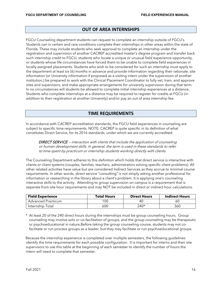# **OUT OF AREA INTERNSHIPS**

<span id="page-15-0"></span>FGCU Counseling department students can request to complete an internship outside of FGCU's. Students can in certain and rare conditions complete their internships in other areas within the state of Florida. These may include students who seek approval to complete an internship under the registration and supervision of another CACREP accredited master's degree program and transfer back such internship credit to FGCU, students who locate a unique or unusual field experience opportunity, or students whose life circumstances have forced them to be unable to complete field experiences in locally assigned placements. Students who wish to be considered for such an internship must apply to the department at least six (6) months in advance and provide information regarding their rationale, site information (or University information if proposed as a visiting intern under the supervision of another institution,) be prepared to work with the Clinical Placement Coordinator to fully vet, train, and approve sites and supervisors, and make appropriate arrangements for university supervision during that term. In no circumstances will students be allowed to complete initial internship experiences at a distance. Students who complete internships at a distance may be required to register for credits at FGCU (in addition to their registration at another University) and/or pay an out of area internship fee.

# **TIME REQUIREMENTS**

<span id="page-15-1"></span>In accordance with CACREP accreditation standards, the FGCU field experiences in counseling are subject to specific time requirements. NOTE: CACREP is quite specific in its definition of what constitutes Direct Service, for its 2016 standards, under which we are currently accredited:

DIRECT SERVICE – interaction with clients that include the application of counseling or human development skills. In general, the term is used in these standards to refer to time spent by practicum or internship students working directly with clients.

The Counseling Department adheres to this definition which holds that direct service is interactive with clients or client systems (couples, families, teachers, administrators solving specific client problems). All other related activities have value but are considered Indirect Services as they accrue to minimal course requirements. In other words, direct service "consulting" is not simply asking another professional for information or researching in the library about a client's problem. It is applying one's counseling interactive skills to the activity. Attending to group supervision on campus is a requirement that is separate from site hour requirements and may NOT be included in direct or indirect hour calculations.

| <b>Field Experience</b> | <b>Total Hours</b> | <b>Direct Hours</b> | <b>Indirect Hours</b> |
|-------------------------|--------------------|---------------------|-----------------------|
| Advanced Practicum      | 100                | 40                  | 6U                    |
| Internship Total        | 600                | 240*                | 360                   |

\* At least 20 of the 240 direct hours during the internships must be group counseling hours. Group counseling may involve solo or co-facilitation of groups, and the group counseling may be therapeutic or psychoeducational in nature.Before taking the group counseling course, students may not cofacilitate or run process groups as a leader, but they may facilitate or run psychoeducational groups.

Because the internship experience is completed over multiple semesters, the following guidelines identify the time requirements for each possible configuration. It is important for interns and their site supervisors to use this table at the beginning of each semester to identify the number of hours the intern will need to complete that semester.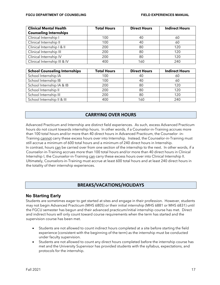| <b>Clinical Mental Health</b> | <b>Total Hours</b> | <b>Direct Hours</b> | <b>Indirect Hours</b> |
|-------------------------------|--------------------|---------------------|-----------------------|
| <b>Counseling Internships</b> |                    |                     |                       |
| Clinical Internship I         | 100                | 40                  | 60                    |
| Clinical Internship II        | 100                | 40                  | 60                    |
| Clinical Internship   &       | 200                | 80                  | 120                   |
| Clinical Internship III       | 200                | 80                  | 120                   |
| Clinical Internship IV        | 200                | 80                  | 120                   |
| Clinical Internship III & IV  | 400                | 160                 | 240                   |

| <b>School Counseling Internships</b> | <b>Total Hours</b> | <b>Direct Hours</b> | <b>Indirect Hours</b> |
|--------------------------------------|--------------------|---------------------|-----------------------|
| School Internship IA                 | 100                | 40                  | 60                    |
| School Internship IB                 | 100                | 40                  | 60                    |
| School Internship IA & IB            | 200                | 80                  | 120                   |
| School Internship II                 | 200                | 80                  | 120                   |
| School Internship III                | 200                | 80                  | 120                   |
| School Internship II & III           | 400                | 160                 | 240                   |

# **CARRYING OVER HOURS**

<span id="page-16-0"></span>Advanced Practicum and Internship are distinct field experiences. As such, excess Advanced Practicum hours do not count towards internship hours. In other words, if a Counselor-in-Training accrues more than 100 total hours and/or more than 40 direct hours in Advanced Practicum, the Counselor -in-Training cannot carry these excess hours over into Internship. Instead, the Counselor-in-Training must still accrue a minimum of 600 total hours and a minimum of 240 direct hours in Internship. In contrast, hours can be carried over from one section of the internship to the next. In other words, if a Counselor-in-Training accrues more than 100 total hours and/or more than 40 direct hours in Clinical Internship I, the Counselor-in-Training can carry these excess hours over into Clinical Internship II. Ultimately, Counselors-in-Training must accrue at least 600 total hours and at least 240 direct hours in the totality of their internship experiences.

# **BREAKS/VACATIONS/HOLIDAYS**

# <span id="page-16-1"></span>**No Starting Early**

Students are sometimes eager to get started at sites and engage in their profession. However, students may not begin Advanced Practicum (MHS 6805) or their initial internship (MHS 6881 or MHS 6831) until the FGCU semester has begun and their advanced practicum/initial internship course has met. Direct and indirect hours will only count toward course requirements when the term has started and the supervision course has been met.

- Students are not allowed to count indirect hours completed at a site before starting the field experience (consistent with the beginning of the term) as the internship must be conducted under faculty supervision.
- Students are not allowed to count any direct hours completed before the internship course has met and the University Supervisor has provided students with the syllabus, expectations, and protocols for the internship.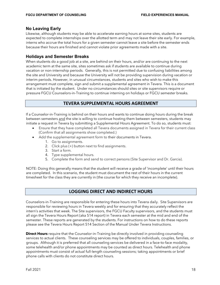### **No Leaving Early**

Likewise, although students may be able to accelerate earning hours at some sites, students are expected to complete internships over the allotted term and may not leave their site early. For example, interns who accrue the total hours for a given semester cannot leave a site before the semester ends because their hours are finished and cannot violate prior agreements made with a site.

### **Holidays and Semester Breaks**

When students do a good job at a site, are behind on their hours, and/or are continuing to the next academic term at the same site, sites sometimes ask if students are available to continue during vacation or non-internship periods. Generally, this is not permitted due to confusing liabilities among the site and University and because the University will not be providing supervision during vacation or interim periods. However, in unusual circumstances, students and sites who wish to make this arrangement must complete, sign and submit a supplemental agreement in Tevera. This is a document that is initiated by the student. Under no circumstances should sites or site supervisors require or pressure FGCU Counselors-in-Training to continue interning on holidays or FGCU semester breaks.

# **TEVERA SUPPLEMENTAL HOURS AGREEMENT**

<span id="page-17-0"></span>If a Counselor-in-Training is behind on their hours and wants to continue doing hours during the break between semesters and the site is willing to continue hosting them between semesters, students may initiate a request in Tevera by submitting a Supplemental Hours Agreement. To do so, students must:

- Ensure that they have completed all Tevera documents assigned in Tevera for their current class (Confirm that all assignments show completed.)
- Add the supplemental agreement form to their documents in Tevera.
	- 1. Go to assignments.
	- 2. Click plus (+) button next to find assignments.
	- 3. Start a form.
	- 4. Type supplemental hours.
	- 5. Complete the form and send to correct persons (Site Supervisor and Dr. Garcia).

NOTE: Doing this generally means that the student will receive a grade of 'incomplete' until their hours are completed. In this scenario, the student must document the rest of their hours in the current timesheet for the class they are currently in (the course for which they receive an incomplete).

# **LOGGING DIRECT AND INDIRECT HOURS**

<span id="page-17-1"></span>Counselors-in-Training are responsible for entering these hours into Tevera daily. Site Supervisors are responsible for reviewing hours in Tevera weekly and for ensuring that they accurately reflect the intern's activities that week. The Site supervisors, the FGCU Faculty supervisors, and the students must all sign the Tevera Hours Report (aka 514 report) in Tevera each semester at the mid and end of the semester. These reports are generated by the students. For instructions on how to do these reports please see the Tevera Hours Report 514 Section of the Manual Under Tevera Instructions.

**Direct Hours** require that the Counselor-in-Training be directly involved in providing counseling services to actual clients. These counseling services may be offered to individuals, couples, families, or groups. Although it is preferred that all counseling services be delivered in a face-to-face modality, some telehealth and/or phone appointments may be counted as direct hours. Telehealth and phone appointments must consist of actual full-length counseling sessions; taking appointments or brief phone calls with clients do not constitute direct hours.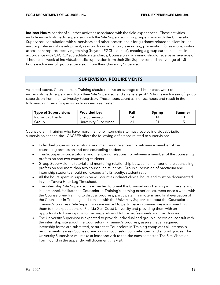**Indirect Hours** consist of all other activities associated with the field experiences. These activities include individual/triadic supervision with the Site Supervisor, group supervision with the University Supervisor, consultation with supervisors and other professionals for guidance related to client issues and/or professional development, session documentation (case notes), preparation for sessions, writing assessment reports, receiving training (beyond FGCU courses), creating a group curriculum, etc. In accordance with CACREP accreditation standards, Counselors-in-Training should receive an average of 1 hour each week of individual/triadic supervision from their Site Supervisor and an average of 1.5 hours each week of group supervision from their University Supervisor.

# **SUPERVISION REQUIREMENTS**

<span id="page-18-0"></span>As stated above, Counselors-in-Training should receive an average of 1 hour each week of individual/triadic supervision from their Site Supervisor and an average of 1.5 hours each week of group supervision from their University Supervisor. These hours count as indirect hours and result in the following number of supervision hours each semester:

| <b>Type of Supervision:</b> | <b>Provided by:</b>   | Fall | <b>Spring</b> | Summer |
|-----------------------------|-----------------------|------|---------------|--------|
| Individual/Triadic          | Site Supervisor       |      |               |        |
| Group                       | University Supervisor |      |               |        |

Counselors-in-Training who have more than one internship site must receive individual/triadic supervision at each site. CACREP offers the following definitions related to supervision:

- Individual Supervision: a tutorial and mentoring relationship between a member of the counseling profession and one counseling student
- Triadic Supervision: a tutorial and mentoring relationship between a member of the counseling profession and two counseling students
- Group Supervision: a tutorial and mentoring relationship between a member of the counseling profession and more than two counseling students. Group supervision of practicum and internship students should not exceed a 1:12 faculty: student ratio
- All the hours spent in supervision will count as indirect clinical hours and must be documented in your Tevera Hour Log Timesheet.
- The internship Site Supervisor is expected to orient the Counselor-in-Training with the site and its personnel, facilitate the Counselor-in-Training's learning experiences, meet once a week with the Counselor-in-Training to discuss progress, participate in a midterm and final evaluation of the Counselor-in-Training, and consult with the University Supervisor about the Counselor-in-Training's progress. Site Supervisors are invited to participate in training sessions orienting them to the expectations of Florida Gulf Coast University and providing them with an opportunity to have input into the preparation of future professionals and their training.
- The University Supervisor is expected to provide individual and group supervision, consult with the internship site about the Counselor-in-Training's progress, assure that all required internship forms are submitted, assure that Counselors-in-Training completes all internship requirements, assess Counselor-in-Training counselor competencies, and submit grades. The University Supervisor will make at least one visit to the site each semester. The Site Visitation Form found in the appendix will document this visit.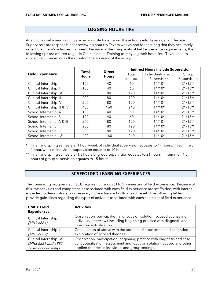# **LOGGING HOURS TIPS**

<span id="page-19-0"></span>Again, Counselors-in-Training are responsible for entering these hours into Tevera daily. The Site Supervisors are responsible for reviewing hours in Tevera weekly and for ensuring that they accurately reflect the intern's activities that week. Because of the complexity of field experience requirements, the following tips are offered to guide Counselors-in-Training as they log their hours into Tevera and to guide Site Supervisors as they confirm the accuracy of these logs.

|                              | <b>Total</b><br><b>Direct</b> |              |          | <b>Indirect Hours include Supervision</b> |             |
|------------------------------|-------------------------------|--------------|----------|-------------------------------------------|-------------|
| <b>Field Experience</b>      | <b>Hours</b>                  | <b>Hours</b> | Total    | Individual/Triadic                        | Group       |
|                              |                               |              | Indirect | Supervision                               | Supervision |
| Clinical Internship I        | 100                           | 40           | 60       | $14/10*$                                  | $21/15**$   |
| Clinical Internship II       | 100                           | 40           | 60       | $14/10*$                                  | $21/15**$   |
| Clinical Internship   & II   | 200                           | 80           | 120      | $14/10*$                                  | $21/15**$   |
| Clinical Internship III      | 200                           | 80           | 120      | $14/10*$                                  | $21/15**$   |
| Clinical Internship IV       | 200                           | 80           | 120      | $14/10*$                                  | $21/15**$   |
| Clinical Internship III & IV | 400                           | 160          | 240      | $14/10*$                                  | $21/15**$   |
| School Internship IA         | 100                           | 40           | 60       | $14/10*$                                  | $21/15**$   |
| School Internship IB         | 100                           | 40           | 60       | $14/10*$                                  | $21/15**$   |
| School Internship IA & IB    | 200                           | 80           | 120      | $14/10*$                                  | $21/15**$   |
| School Internship II         | 200                           | 80           | 120      | $14/10*$                                  | $21/15**$   |
| School Internship III        | 200                           | 80           | 120      | $14/10*$                                  | $21/15**$   |
| School Internship II & III   | 400                           | 160          | 240      | $14/10*$                                  | $21/15**$   |

\* In fall and spring semesters, 1 hour/week of individual supervision equates to 14 hours. In summer, 1 hour/week of individual supervision equates to 10 hours.

\*\* In fall and spring semesters, 1.5 hours of group supervision equates to 21 hours. In summer, 1.5 hours of group supervision equates to 15 hours.

# **SCAFFOLDED LEARNING EXPERIENCES**

<span id="page-19-1"></span>The counseling programs at FGCU require numerous (3 to 5) semesters of field experience. Because of this, the activities and competencies associated with each field experience are scaffolded, with interns expected to demonstrate progressively more advanced skills at each level. The following tables provide guidelines regarding the types of activities associated with each semester of field experience.

| <b>CMHC Field</b><br><b>Experiences</b>                                 | <b>Activities</b>                                                                                                                                                                                     |
|-------------------------------------------------------------------------|-------------------------------------------------------------------------------------------------------------------------------------------------------------------------------------------------------|
|                                                                         |                                                                                                                                                                                                       |
| Clinical Internship I<br>(MHS 6881)                                     | Observation, participation and focus on solution-focused counseling in<br>individual interviews including beginning practice with diagnosis and<br>case conceptualization.                            |
| Clinical Internship II<br>(MHS 6882)                                    | Continuation of above with the addition of assessment and expanded<br>exploration of applied theories.                                                                                                |
| Clinical Internship   & II<br>(MHS 6881 and 6882<br>taken concurrently) | Observation, participation, beginning practice with diagnosis and case<br>conceptualization, assessment and focus on solution-focused and other<br>applied theories in individual and group settings. |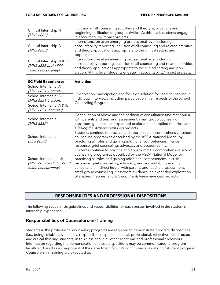| Clinical Internship III<br>(MHS 6883)                                     | Inclusion of all counseling activities and theory applications and<br>beginning facilitation of group activities. At this level, students engage<br>in accountability/impact projects.                                                                                                             |
|---------------------------------------------------------------------------|----------------------------------------------------------------------------------------------------------------------------------------------------------------------------------------------------------------------------------------------------------------------------------------------------|
| Clinical Internship IV<br>(MHS 6888)                                      | Interns function at an emerging professional level including<br>accountability reporting. Inclusion of all counseling and related activities<br>and theory applications appropriate to the clinical setting and<br>population.                                                                     |
| Clinical Internship III & IV<br>(MHS 6883 and 6888<br>taken concurrently) | Interns function at an emerging professional level including<br>accountability reporting. Inclusion of all counseling and related activities<br>and theory applications appropriate to the clinical setting and pop-<br>ulation. At this level, students engage in accountability/impact projects. |

| <b>SC Field Experiences</b>                                                 | <b>Activities</b>                                                          |  |  |  |
|-----------------------------------------------------------------------------|----------------------------------------------------------------------------|--|--|--|
| School Internship IA                                                        |                                                                            |  |  |  |
| (MHS 6831-1 credit)                                                         | Observation, participation and focus on solution-focused counseling in     |  |  |  |
| School Internship IB                                                        | individual interviews including participation in all aspects of the School |  |  |  |
| (MHS 6831-1 credit)                                                         | Counseling Program.                                                        |  |  |  |
| School Internship IA & IB                                                   |                                                                            |  |  |  |
| (MHS 6831-2 credits)                                                        |                                                                            |  |  |  |
|                                                                             | Continuation of above and the addition of consultation (indirect hours)    |  |  |  |
| School Internship II                                                        | with parents and teachers, assessment, small group counseling,             |  |  |  |
| (MHS 6832)                                                                  | classroom guidance, an expanded exploration of applied theories, and       |  |  |  |
|                                                                             | Closing the Achievement Gap projects.                                      |  |  |  |
|                                                                             | Students continue to practice and approximate a comprehensive school       |  |  |  |
| School Internship III                                                       | counseling program as described by the ASCA National Model by              |  |  |  |
| (SDS 6830)                                                                  | practicing all roles and gaining additional competencies in crisis         |  |  |  |
|                                                                             | response, grief counseling, advocacy and accountability.                   |  |  |  |
|                                                                             | Students continue to practice and approximate a comprehensive school       |  |  |  |
|                                                                             | counseling program as described by the ASCA National Model by              |  |  |  |
| School Internship II & III<br>(MHS 6832 and SDS 6830<br>taken concurrently) | practicing all roles and gaining additional competencies in crisis         |  |  |  |
|                                                                             | response, grief counseling, advocacy, and accountability adding            |  |  |  |
|                                                                             | consultation (indirect hours) with parents and teachers, assessment,       |  |  |  |
|                                                                             | small group counseling, classroom guidance, an expanded exploration        |  |  |  |
|                                                                             | of applied theories, and Closing the Achievement Gap projects.             |  |  |  |

# **RESPONSIBILITIES AND PROFESSIONAL DISPOSITIONS**

<span id="page-20-0"></span>The following section lists guidelines and responsibilities for each person involved in the student's internship experience.

# **Responsibilities of Counselors-in-Training**

Students in the professional counseling programs are required to demonstrate program dispositions (i.e., being collaborative, timely, responsible, respectful, ethical, professional, reflective, self-directed, and critical-thinking students) in this class and in all other academic and professional endeavors. Information regarding the demonstration of these dispositions may be communicated to program faculty and used as a component of the department faculty's continuous evaluation of student progress. Counselors-in-Training are expected to: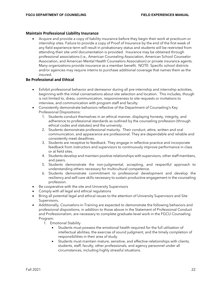### **Maintain Professional Liability Insurance**

• Acquire and provide a copy of liability insurance before they begin their work at practicum or internship sites. Failure to provide a copy of Proof of Insurance by the end of the first week of any field experience term will result in probationary status and students will be restricted from attending their site until documentation is provided. Insurance may be obtained through professional associations (i.e., American Counseling Association, American School Counselor Association, and American Mental Health Counselors Association) or private insurance agents. Many organizations provide insurance as a member benefit. NOTE: Specific school districts and/or agencies may require interns to purchase additional coverage that names them as the insured.

### **Be Professional and Ethical**

- Exhibit professional behavior and demeanor during all pre-internship and internship activities, beginning with the initial conversations about site selection and location. This includes, though is not limited to, dress, communication, responsiveness to site requests or invitations to interview, and communication with program staff and faculty.
- Consistently demonstrate behaviors reflective of the Department of Counseling's Key Professional Dispositions:
	- 1. Students conduct themselves in an ethical manner, displaying honesty, integrity, and adherence to professional standards as outlined by the counseling profession (through ethical codes and statutes) and the university.
	- 2. Students demonstrate professional maturity. Their conduct, attire, written and oral communication, and appearance are professional. They are dependable and reliable and consistently meet deadlines.
	- 3. Students are receptive to feedback. They engage in reflective practice and incorporate feedback from instructors and supervisors to continuously improve performance in class or at field sites.
	- 4. Students develop and maintain positive relationships with supervisors, other staff members, and peers.
	- 5. Students demonstrate the non-judgmental, accepting, and respectful approach to understanding others necessary for multicultural competence.
	- 6. Students demonstrate commitment to professional development and develop the resiliency and self-care skills necessary to sustain productive engagement in the counseling profession.
- Be cooperative with the site and University Supervisors
- Comply with all legal and ethical regulations
- Bring all potential legal and ethical issues to the attention of University Supervisors and Site Supervisors.
- Additionally, Counselors-in-Training are expected to demonstrate the following behaviors and professional dispositions, in addition to those above in the Statement of Professional Conduct and Professionalism, are necessary to complete graduate-level work in the FGCU Counseling Program:
	- 1. Emotional Stability
		- Students must possess the emotional health required for the full utilization of intellectual abilities, the exercise of sound judgment, and the timely completion of responsibilities in their area of study.
		- Students must maintain mature, sensitive, and effective relationships with clients, students, staff, faculty, other professionals, and agency personnel under all circumstances, including highly stressful situations.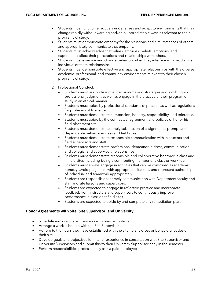- Students must function effectively under stress and adapt to environments that may change rapidly without warning and/or in unpredictable ways as relevant to their programs of study.
- Students must demonstrate empathy for the situations and circumstances of others and appropriately communicate that empathy.
- Students must acknowledge that values, attitudes, beliefs, emotions, and experiences affect their perceptions and relationships with others.
- Students must examine and change behaviors when they interfere with productive individual or team relationships.
- Students must demonstrate effective and appropriate relationships with the diverse academic, professional, and community environments relevant to their chosen programs of study.
- 2. Professional Conduct:
	- Students must use professional decision-making strategies and exhibit good professional judgment as well as engage in the practice of their program of study in an ethical manner.
	- Students must abide by professional standards of practice as well as regulations for professional licensure.
	- Students must demonstrate compassion, honesty, responsibility, and tolerance.
	- Students must abide by the contractual agreement and policies of her or his field placement site.
	- Students must demonstrate timely submission of assignments, prompt and dependable behavior in class and field sites.
	- Students must demonstrate responsible communication with instructors and field supervisors and staff.
	- Students must demonstrate professional demeanor in dress, communication, and collegial and supervisory relationships.
	- Students must demonstrate responsible and collaborative behavior in class and in field sites including being a contributing member of a class or work team.
	- Students must always engage in activities that can be construed as academic honesty, avoid plagiarism with appropriate citations, and represent authorship of individual and teamwork appropriately.
	- Students are responsible for timely communication with Department faculty and staff and site liaisons and supervisors.
	- Students are expected to engage in reflective practice and incorporate feedback from instructors and supervisors to continuously improve performance in class or at field sites.
	- Students are expected to abide by and complete any remediation plan.

### **Honor Agreements with Site, Site Supervisor, and University**

- Schedule and complete interviews with on-site contacts
- Arrange a work schedule with the Site Supervisor
- Adhere to the hours they have established with the site, to any dress or behavioral codes of their site
- Develop goals and objectives for his/her experience in consultation with Site Supervisor and University Supervisors and submit this to their University Supervisor early in the semester
- Perform responsibilities professionally as if a paid employee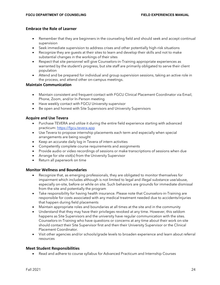### **Embrace the Role of Learner**

- Remember that they are beginners in the counseling field and should seek and accept continual supervision
- Seek immediate supervision to address crises and other potentially high-risk situations
- Recognize they are guests at their sites to learn and develop their skills and not to make substantial changes in the workings of their sites
- Respect that site personnel will give Counselors-in-Training appropriate experiences as warranted by the student's progress, but site staff are primarily obligated to serve their client population
- Attend and be prepared for individual and group supervision sessions, taking an active role in the process, and attend other on-campus meetings.

### **Maintain Communication**

- Maintain consistent and frequent contact with FGCU Clinical Placement Coordinator via Email, Phone, Zoom, and/or In-Person meeting
- Have weekly contact with FGCU University supervisor
- Be open and honest with Site Supervisors and University Supervisors

### **Acquire and Use Tevera**

- Purchase TEVERA and utilize it during the entire field experience starting with advanced practicum: [https://fgcu.tevera.app](https://fgcu.tevera.app/)
- Use Tevera to propose internship placements each term and especially when special arrangements are being sought
- Keep an accurate daily log in Tevera of intern activities
- Competently complete course requirements and assignments
- Provide audio or video recordings of sessions or make transcriptions of sessions when due
- Arrange for site visit(s) from the University Supervisor
- Return all paperwork on time

### **Monitor Wellness and Boundaries**

- Recognize that, as emerging professionals, they are obligated to monitor themselves for impairment which includes although is not limited to legal and illegal substance use/abuse, especially on-site, before or while on site. Such behaviors are grounds for immediate dismissal from the site and potentially the program
- Take responsibility for having health insurance. Please note that Counselors-in-Training are responsible for costs associated with any medical treatment needed due to accidents/injuries that happen during field placements
- Maintain appropriate roles and boundaries at all times at the site and in the community
- Understand that they may have their privileges revoked at any time. However, this seldom happens as Site Supervisors and the university have regular communication with the sites. Counselors-in-Training who have questions or concerns at any time about their work on-site should contact their Site Supervisor first and then their University Supervisor or the Clinical Placement Coordinator.
- Visit other agencies and/or schools/grade levels to broaden experience and learn about referral resources

### **Meet Student Responsibilities**

• Read and adhere to course syllabus for Advanced Practicum and Internship Courses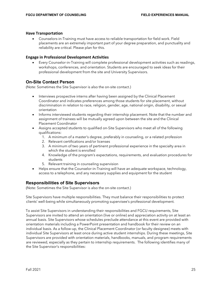### **Have Transportation**

• Counselors-in-Training must have access to reliable transportation for field work. Field placements are an extremely important part of your degree preparation, and punctuality and reliability are critical. Please plan for this.

### **Engage in Professional Development Activities**

• Every Counselor-in-Training will complete professional development activities such as readings, workshops, conferences, and orientation. Students are encouraged to seek ideas for their professional development from the site and University Supervisors.

# **On-Site Contact Person**

(Note: Sometimes the Site Supervisor is also the on-site contact.)

- Interviews prospective interns after having been assigned by the Clinical Placement Coordinator and indicates preferences among those students for site placement, without discrimination in relation to race, religion, gender, age, national origin, disability, or sexual orientation
- Informs interviewed students regarding their internship placement. Note that the number and assignment of trainees will be mutually agreed upon between the site and the Clinical Placement Coordinator
- Assigns accepted students to qualified on-Site Supervisors who meet all of the following qualifications:
	- 1. A minimum of a master's degree, preferably in counseling, or a related profession
	- 2. Relevant certifications and/or licenses
	- 3. A minimum of two years of pertinent professional experience in the specialty area in which the student is enrolled
	- 4. Knowledge of the program's expectations, requirements, and evaluation procedures for students
	- 5. Relevant training in counseling supervision
- Helps ensure that the Counselor-in-Training will have an adequate workspace, technology, access to a telephone, and any necessary supplies and equipment for the student

# **Responsibilities of Site Supervisors**

(Note: Sometimes the Site Supervisor is also the on-site contact.)

Site Supervisors have multiple responsibilities. They must balance their responsibilities to protect clients' well-being while simultaneously promoting supervisee's professional development.

To assist Site Supervisors in understanding their responsibilities and FGCU requirements, Site Supervisors are invited to attend an orientation (live or online) and appreciation activity on at least an annual basis. Site Supervisors whose schedules preclude attendance at this event are provided with orientation materials including a PowerPoint presentation and handbook for their review on an individual basis. As a follow-up, the Clinical Placement Coordinator (or faculty designee) meets with individual Site Supervisors at least once during active student internships. During these meetings, Site Supervisors are provided with orientation materials, handbooks, manuals, and program requirements are reviewed, especially as they pertain to internship requirements. The following identifies many of the Site Supervisor's responsibilities: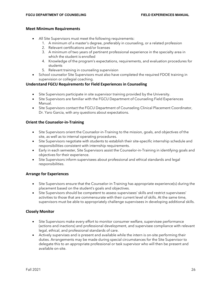### **Meet Minimum Requirements**

- All Site Supervisors must meet the following requirements:
	- 1. A minimum of a master's degree, preferably in counseling, or a related profession
	- 2. Relevant certifications and/or licenses
	- 3. A minimum of two years of pertinent professional experience in the specialty area in which the student is enrolled
	- 4. Knowledge of the program's expectations, requirements, and evaluation procedures for students
	- 5. Relevant training in counseling supervision
- School counselor Site Supervisors must also have completed the required FDOE training in supervision or collegial coaching.

### **Understand FGCU Requirements for Field Experiences in Counseling**

- Site Supervisors participate in site supervisor training provided by the University.
- Site Supervisors are familiar with the FGCU Department of Counseling Field Experiences Manual.
- Site Supervisors contact the FGCU Department of Counseling Clinical Placement Coordinator, Dr. Yaro Garcia, with any questions about expectations.

### **Orient the Counselor-in-Training**

- Site Supervisors orient the Counselor-in-Training to the mission, goals, and objectives of the site, as well as to internal operating procedures.
- Site Supervisors negotiate with students to establish their site-specific internship schedule and responsibilities consistent with internship requirements.
- Early in each semester, Site Supervisors assist the Counselor-in-Training in identifying goals and objectives for their experience.
- Site Supervisors inform supervisees about professional and ethical standards and legal responsibilities.

### **Arrange for Experiences**

- Site Supervisors ensure that the Counselor-in-Training has appropriate experience(s) during the placement based on the student's goals and objectives.
- Site Supervisors should be competent to assess supervisees' skills and restrict supervisees' activities to those that are commensurate with their current level of skills. At the same time, supervisors must be able to appropriately challenge supervisees in developing additional skills.

### **Closely Monitor**

- Site Supervisors make every effort to monitor consumer welfare, supervisee performance (actions and inactions) and professional development, and supervisee compliance with relevant legal, ethical, and professional standards of care.
- Actively supervises and is present and available while the intern is on-site performing their duties. Arrangements may be made during special circumstances for the Site Supervisor to delegate this to an appropriate professional or task supervisor who will then be present and available on-site.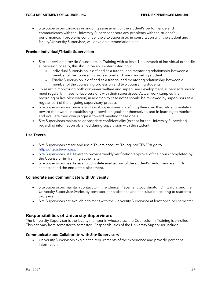• Site Supervisors Engages in ongoing assessment of the student's performance and communicates with the University Supervisor about any problems with the student's performance. If problems continue, the Site Supervisor, in consultation with the student and faculty/University Supervisor, will develop a remediation plan.

### **Provide Individual/Triadic Supervision**

- Site supervisors provide Counselors-in-Training with at least 1 hour/week of individual or triadic supervision. Ideally, this should be an uninterrupted hour.
	- Individual Supervision is defined as a tutorial and mentoring relationship between a member of the counseling professional and one counseling student
	- Triadic Supervision is defined as a tutorial and mentoring relationship between a member of the counseling profession and two counseling students
- To assist in monitoring both consumer welfare and supervisee development, supervisors should meet regularly in face-to-face sessions with their supervisees. Actual work samples (via recording or live observation) in addition to case notes should be reviewed by supervisors as a regular part of the ongoing supervisory process.
- Site Supervisors encourage and assist supervisees in defining their own theoretical orientation toward their work, in establishing supervision goals for themselves, and in learning to monitor and evaluate their own progress toward meeting these goals.
- Site Supervisors maintains appropriate confidentiality (except for the University Supervisor) regarding information obtained during supervision with the student.

### **Use Tevera**

- Site Supervisors create and use a Tevera account. To log into TEVERA go t[o](https://fgcu.clinicaltm.com/) [https://fgcu.tevera.app](https://fgcu.tevera.app/)
- Site Supervisors use Tevera to provide weekly verification/approval of the hours completed by the Counselor-in-Training at their site.
- Site Supervisors use Tevera to complete evaluations of the student's performance at midsemester and the end of the placement.

### **Collaborate and Communicate with University**

- Site Supervisors maintain contact with the Clinical Placement Coordinator (Dr. Garcia) and the University Supervisor (varies by semester) for assistance and consultation relating to student's progress.
- Site Supervisors are available to meet with the University Supervisor at least once per semester.

### **Responsibilities of University Supervisors**

The University Supervisor is the faculty member in whose class the Counselor-in-Training is enrolled. This can vary from semester to semester. Responsibilities of the University Supervisor include:

### **Communicate and Collaborate with Site Supervisors**

• University Supervisors explain the requirements of the experience and provide pertinent information.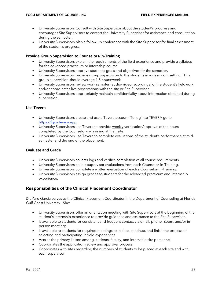- University Supervisors Consult with Site Supervisor about the student's progress and encourages Site Supervisors to contact the University Supervisor for assistance and consultation during the semester.
- University Supervisors plan a follow-up conference with the Site Supervisor for final assessment of the student's progress.

### **Provide Group Supervision to Counselors-in-Training**

- University Supervisors explain the requirements of the field experience and provide a syllabus for the advanced practicum or internship course.
- University Supervisors approve student's goals and objectives for the semester.
- University Supervisors provide group supervision to the students in a classroom setting. This group supervision should average 1.5 hours/week.
- University Supervisors review work samples (audio/video recordings) of the student's fieldwork and/or coordinates live observations with the site or Site Supervisor.
- University Supervisors appropriately maintain confidentiality about information obtained during supervision.

### **Use Tevera**

- University Supervisors create and use a Tevera account. To log into TEVERA go t[o](https://fgcu.clinicaltm.com/) [https://fgcu.tevera.app](https://fgcu.tevera.app/)
- University Supervisors use Tevera to provide weekly verification/approval of the hours completed by the Counselor-in-Training at their site.
- University Supervisors use Tevera to complete evaluations of the student's performance at midsemester and the end of the placement.

### **Evaluate and Grade**

- University Supervisors collects logs and verifies completion of all course requirements.
- University Supervisors collect supervisor evaluations from each Counselor-in-Training.
- University Supervisors complete a written evaluation of each s Counselor-in-Training.
- University Supervisors assign grades to students for the advanced practicum and internship experience.

# **Responsibilities of the Clinical Placement Coordinator**

Dr. Yaro Garcia serves as the Clinical Placement Coordinator in the Department of Counseling at Florida Gulf Coast University. She:

- University Supervisors offer an orientation meeting with Site Supervisors at the beginning of the student's internship experience to provide guidance and assistance to the Site Supervisor.
- Is available to students for consistent and frequent contact via email, phone, Zoom, and/or inperson meetings
- Is available to students for required meetings to initiate, continue, and finish the process of selecting and participating in field experiences
- Acts as the primary liaison among students, faculty, and internship site personnel
- Coordinates the application review and approval process
- Coordinates with sites regarding the numbers of students to be placed at each site and with each supervisor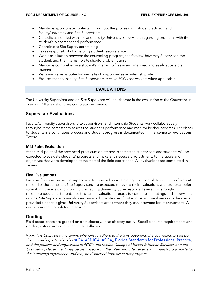- Maintains appropriate contacts throughout the process with student, advisor, and faculty/university and Site Supervisors
- Consults as needed with site and faculty/University Supervisors regarding problems with the student's placement and performance
- Coordinates Site Supervisor training
- Takes responsibility for helping students secure a site
- Works as a liaison between the counseling program, the faculty/University Supervisor, the student, and the internship site should problems arise
- Maintains comprehensive student's internship files in an organized and easily accessible manner
- Visits and reviews potential new sites for approval as an internship site
- <span id="page-28-0"></span>• Ensures that counseling Site Supervisors receive FGCU fee waivers when applicable

# **EVALUATIONS**

The University Supervisor and on-Site Supervisor will collaborate in the evaluation of the Counselor-in-Training. All evaluations are completed in Tevera.

# **Supervisor Evaluations**

Faculty/University Supervisors, Site Supervisors, and Internship Students work collaboratively throughout the semester to assess the student's performance and monitor his/her progress. Feedback to students is a continuous process and student progress is documented in final semester evaluations in Tevera.

### **Mid-Point Evaluations**

At the mid-point of the advanced practicum or internship semester, supervisors and students will be expected to evaluate students' progress and make any necessary adjustments to the goals and objectives that were developed at the start of the field experience. All evaluations are completed in Tevera.

### **Final Evaluations**

Each professional providing supervision to Counselors-in-Training must complete evaluation forms at the end of the semester. Site Supervisors are expected to review their evaluations with students before submitting the evaluation form to the Faculty/University Supervisor via Tevera. It is strongly recommended that students use this same evaluation process to compare self-ratings and supervisors' ratings. Site Supervisors are also encouraged to write specific strengths and weaknesses in the space provided since this gives University Supervisors areas where they can intervene for improvement. All evaluations are completed in Tevera.

# **Grading**

Field experiences are graded on a satisfactory/unsatisfactory basis. Specific course requirements and grading criteria are articulated in the syllabus.

Note: Any Counselor-in-Training who fails to adhere to the laws governing the counseling profession, the counseling ethical code[s \(](http://www.counseling.org/Resources/CodeOfEthics/TP/Home/CT2.aspx)[ACA](http://www.counseling.org/Resources/CodeOfEthics/TP/Home/CT2.aspx), [AMHCA](http://www.amhca.org/code/), [ASCA\)](http://www.schoolcounselor.org/content.asp?contentid=173), [Florida Standards for Professional Practice](http://www.fldoe.org/edstandards/code_of_ethics.asp), and the policies and regulations of FGCU, the Marieb College of Health & Human Services, and the Counseling Department may be dismissed from the internship site, receive an unsatisfactory grade for the internship experience, and may be dismissed from his or her program.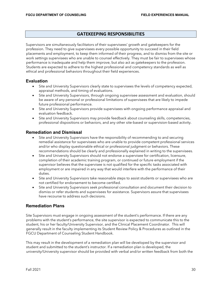# **GATEKEEPING RESPONSIBILITIES**

<span id="page-29-0"></span>Supervisors are simultaneously facilitators of their supervisees' growth and gatekeepers for the profession. They need to give supervisees every possible opportunity to succeed in their field placements and employment, to keep them informed of their progress, and to dismiss from the site or work settings supervisees who are unable to counsel effectively. They must be fair to supervisees whose performance is inadequate and help them improve, but also act as gatekeepers to the profession. Students are expected to adhere to the highest professional and competency standards as well as ethical and professional behaviors throughout their field experiences.

# **Evaluation**

- Site and University Supervisors clearly state to supervisees the levels of competency expected, appraisal methods, and timing of evaluations.
- Site and University Supervisors, through ongoing supervisee assessment and evaluation, should be aware of any personal or professional limitations of supervisees that are likely to impede future professional performance.
- Site and University Supervisors provide supervisees with ongoing performance appraisal and evaluation feedback.
- Site and University Supervisors may provide feedback about counseling skills, competencies, professional dispositions or behaviors, and any other site-based or supervision-based activity.

# **Remediation and Dismissal**

- Site and University Supervisors have the responsibility of recommending to and securing remedial assistance for supervisees who are unable to provide competent professional services and/or who display questionable ethical or professional judgment or behaviors. These recommendations should be clearly and professionally explained in writing to the supervisees.
- Site and University Supervisors should not endorse a supervisee for certification, licensure, completion of their academic training program, or continued or future employment if the supervisor believes that the supervisee is not qualified for the specific tasks associated with employment or are impaired in any way that would interfere with the performance of their duties.
- Site and University Supervisors take reasonable steps to assist students or supervisees who are not certified for endorsement to become certified.
- Site and University Supervisors seek professional consultation and document their decision to dismiss or refer students and supervisees for assistance. Supervisors assure that supervisees have recourse to address such decisions.

# **Remediation Plans**

Site Supervisors must engage in ongoing assessment of the student's performance. If there are any problems with the student's performance, the site supervisor is expected to communicate this to the student, his or her faculty/University Supervisor, and the Clinical Placement Coordinator. This will generally result in the faculty implementing its Student Review Policy & Procedures as outlined in the FGCU Department of Counseling Student Handbook.

This may result in the development of a remediation plan will be developed by the supervisor and student and submitted to the student's instructor. If a remediation plan is developed, the university/University supervisor should be provided with verbal and/or written feedback from both the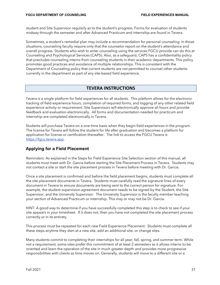student and Site Supervisor regularly as to the student's progress. Forms for evaluation of students midway through the semester and after Advanced Practicum and internship are found in Tevera.

Sometimes, a student's remedial plan may include a recommendation for personal counseling. In those situations, counseling faculty require only that the counselor report on the student's attendance and overall progress. Students who wish to enter counseling using the services FGCU provide can do this at Counseling and Psychological Services (CAPS). Also, as a safeguard, CAPS has a confidentiality policy that precludes counseling interns from counseling students in their academic departments. This policy promotes good practices and avoidance of multiple relationships. This is consistent with the Department of Counseling policy that current students are not permitted to counsel other students currently in the department as part of any site-based field experience.

# **TEVERA INSTRUCTIONS**

<span id="page-30-0"></span>Tevera is a single platform for field experiences for all students. This platform allows for the electronic tracking of field experience hours, completion of required forms, and logging of any other related field experience activity or requirement. Site Supervisors will electronically approve all hours and provide feedback and evaluation electronically. All forms and documentation needed for practicum and internship are completed electronically in Tevera.

Students will purchase Tevera on a one-time basis when they begin field experiences in the program. The license for Tevera will follow the student for life after graduation and becomes a platform for application for license or certification thereafter. The link to access the FGCU Tevera is [https://fgcu.tevera.app.](https://fgcu.tevera.app/)

# **Applying for a Field Placement**

Reminders: As explained in the Steps for Field Experience Site Selection section of this manual, all students must meet with Dr. Garcia before starting the Site Placement Process in Tevera. Students may not contact a site or start the site placement process in Tevera before meeting with Dr. Garcia.

Once a site placement is confirmed and before the field placement begins, students must complete all the site placement documents in Tevera. Students must carefully read the signature lines of every document in Tevera to ensure documents are being sent to the correct person for signature. For example, the student supervision agreement document needs to be signed by the Student, the Site Supervisor, and the University Supervisor. The University Supervisor is the faculty member teaching your section of Advanced Practicum or internship. This may or may not be Dr. Garcia.

HINT: A good way to determine if you have successfully completed this step is to check to see if your site appears in your timesheet. If it does not, then you have not completed the site placement process correctly or in its entirety.

This process must be repeated for each new Field Experience Placement. Students must complete all these steps anytime they start at a new site, add an additional site, or change sites.

Many students commit to completing their internships for all year; fall, spring, and summer term. While not a requirement, some sites prefer this commitment of at least 2 semesters as it allows interns to be oriented and learn the operation of the site in much greater depth and provides more progressive responsibilities with clients as time moves on. Generally, students will move to a different site or a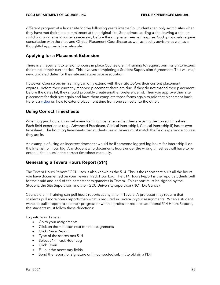different program at a larger site for the following year's internship. Students can only switch sites when they have met their time commitment at the original site. Sometimes, adding a site, leaving a site, or switching programs at a site is necessary before the original agreement expires. Such proposals require consultation with the sites and Clinical Placement Coordinator as well as faculty advisors as well as a thoughtful approach to a rationale.

# **Applying for a Placement Extension**

There is a Placement Extension process in place Counselors-in-Training to request permission to extend their time at their current site. This involves completing a Student Supervision Agreement. This will map new, updated dates for their site and supervisor association.

However, Counselors-in-Training can only extend with their site *before* their current placement expires...before their currently mapped placement dates are due. If they do not extend their placement before the dates hit, they should probably create another preference list. Then you approve their site placement for their site again and have them complete those forms again to add that placement back. Here is a [video](https://drive.google.com/file/d/1FFSXCxxxwCtL4fCICS--xMSJDMIcKQzL/view) on how to extend placement time from one semester to the other.

# **Using Correct Timesheets**

When logging hours, Counselors-in-Training must ensure that they are using the correct timesheet. Each field experience (e.g., Advanced Practicum, Clinical Internship I, Clinical Internship II) has its own timesheet. The hour log timesheets that students use in Tevera must match the field experience course they are in.

An example of using an incorrect timesheet would be if someone logged log hours for Internship II on the Internship I hour log. Any student who documents hours under the wrong timesheet will have to reenter all the hours in the correct timesheet manually.

# **Generating a Tevera Hours Report (514)**

The Tevera Hours Report FGCU uses is also known as the 514. This is the report that pulls all the hours you have documented on your Tevera Track Hour Log. The 514 Hours Report is the report students pull for their mid and end-of-the-semester assignments in Tevera. This report must be signed by the Student, the Site Supervisor, and the FGCU University supervisor (NOT Dr. Garcia).

Counselors-in-Training can pull hours reports at any time in Tevera. A professor may require that students pull more hours reports than what is required in Tevera in your assignments. When a student wants to pull a report to see their progress or when a professor requires additional 514 Hours Reports, the students must follow these directions:

Log into your Tevera,

- Go to your assignments.
- Click on the + button next to find assignments
- Click Run a Report
- Type of the search box 514
- Select 514 Track Hour Log
- Click Open
- Fill out the necessary fields
- Send the report for signature or if not needed submit to obtain a PDF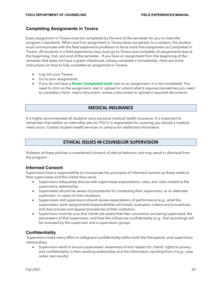### **Completing Assignments in Tevera**

Every assignment in Tevera must be completed by the end of the semester for you to meet the program's standards. When and if an assignment in Tevera does not pertain to a student, the student must communicate with the field experience professor to force mark that assignment as Completed in Tevera. All students in a field experience class must go to Tevera and complete all assignments due at the beginning, mid, and end of the semester. If you have an assignment from the beginning of the semester that does not have a green checkmark, please complete it immediately. Here are some instructions on how to fully complete an assignment in Tevera:

- Log into your Tevera.
- Go to your assignments.
- If you do not have a **Green Completed mark** next to an assignment, it is not completed. You need to click on the assignment, start it, upload or submit what it requires (sometimes you need to complete a form, read a document, review a document or upload a required document).

# **MEDICAL INSURANCE**

<span id="page-32-0"></span>It is highly recommended all students carry personal medical health insurance. It is important to remember that neither an internship site nor FGCU is responsible for covering you should a medical need occur. Contact student health services on campus for additional information.

# **ETHICAL ISSUES IN COUNSELOR SUPERVISION**

<span id="page-32-1"></span>Violation of these policies is considered a breach of ethical behavior and may result in dismissal from the program.

### **Informed Consent**

Supervisors have a responsibility to incorporate the principles of informed consent as these relate to their supervisees and the clients they serve.

- Supervisors adequately discuss with supervisees expectations, roles, and rules related to the supervisory relationship.
- Supervisees should be aware of procedures for contacting their supervisors, or an alternate supervisor, in cases of crisis situations.
- Supervisees and supervisors should review expectations of performance (e.g., what the supervisees' work assignments/responsibilities will entail), evaluation criteria and procedures, and due process and appeal procedures of their institution.
- Supervisors must be sure that clients are aware that their counselors are being supervised, the parameters of that supervision, and how this influences confidentiality (e.g., that recordings will be reviewed by the supervisor and a supervision group).

### **Confidentiality**

Supervisors make every effort to safeguard confidentiality within both the therapeutic and supervisory relationships.

• Supervisors work to ensure supervisees' awareness of and respect for clients' rights to privacy and confidentiality in their working relationship and the information resulting from it (e.g., case notes, test results).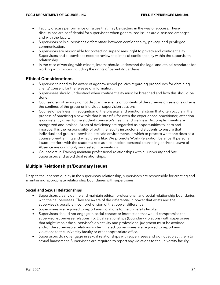- Faculty discuss performance or issues that may be getting in the way of success. These discussions are confidential for supervisees when generalized issues are discussed amongst and with the faculty.
- Supervisors help supervisees differentiate between confidentiality, privacy, and privileged communication.
- Supervisors are responsible for protecting supervisees' right to privacy and confidentiality. Supervisors and supervisees need to review the limits of confidentiality within the supervision relationship.
- In the case of working with minors, interns should understand the legal and ethical standards for working with minors including the rights of parents/guardians.

# **Ethical Considerations**

- Supervisees need to be aware of agency/school policies regarding procedures for obtaining clients' consent for the release of information.
- Supervisees should understand when confidentiality must be breached and how this should be done.
- Counselors-in-Training do not discuss the events or contents of the supervision sessions outside the confines of the group or individual supervision sessions.
- Counselor wellness. In recognition of the physical and emotional strain that often occurs in the process of practicing a new role that is stressful for even the experienced practitioner, attention is consistently given to the student counselor's health and wellness. Accomplishments are recognized and praised. Areas of deficiency are regarded as opportunities to learn and improve. It is the responsibility of both the faculty instructor and students to ensure that individual and group supervision are safe environments in which to process what one does as a counselor-in-training and what it feels like. We promote Work/Relaxation balance. If personal issues interfere with the student's role as a counselor, personal counseling and/or a Leave of Absence are commonly suggested interventions
- Counselors-in-Training maintain professional relationships with all university and Site Supervisors and avoid dual relationships.

# **Multiple Relationships/Boundary Issues**

Despite the inherent duality in the supervisory relationship, supervisors are responsible for creating and maintaining appropriate relationship boundaries with supervisees.

### **Social and Sexual Relationships**

- Supervisors clearly define and maintain ethical, professional, and social relationship boundaries with their supervisees. They are aware of the differential in power that exists and the supervisee's possible incomprehension of that power differential.
- Supervisees are required to report any violations to the university faculty.
- Supervisors should not engage in social contact or interaction that would compromise the supervisor-supervisee relationship. Dual relationships (boundary violations) with supervisees that might impair the supervisor's objectivity and professional judgment must be avoided and/or the supervisory relationship terminated. Supervisees are required to report any violations to the university faculty or other appropriate office.
- Supervisors do not engage in sexual relationships with supervisees and do not subject them to sexual harassment. Supervisees are required to report any violations to the university faculty.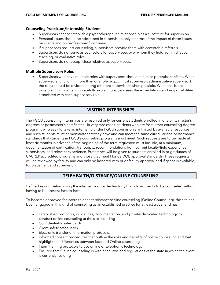### **Counseling Practicum/Internship Students**

- Supervisors cannot establish a psychotherapeutic relationship as a substitute for supervision.
- Personal issues should be addressed in supervision only in terms of the impact of these issues on clients and on professional functioning.
- If supervisees request counseling, supervisors provide them with acceptable referrals.
- Supervisors do not serve as counselors for supervisees over whom they hold administrative, teaching, or evaluative roles.
- Supervisors do not accept close relatives as supervisees.

### **Multiple Supervisory Roles**

• Supervisors who have multiple roles with supervisees should minimize potential conflicts. When supervisors function in more than one role (e.g., clinical supervisor, administrative supervisor), the roles should be divided among different supervisors when possible. When this is not possible, it is important to carefully explain to supervisees the expectations and responsibilities associated with each supervisory role.

# **VISITING INTERNSHIPS**

<span id="page-34-0"></span>The FGCU counseling internships are reserved only for current students enrolled in one of its master's degrees or postmaster's certificates. In very rare cases, students who are from other counseling degree programs who seek to take an internship under FGCU supervision are limited by available resources and such students must demonstrate that they have and can meet the same curricular and performance standards that students in FGCU's counseling programs must meet. Such requests are to be made at least six months in advance of the beginning of the term requested must include, at a minimum, documentation of certification, transcripts, recommendations from current faculty/field experience supervisors, and relevant experience. Preference will be given to students enrolled in or graduates of CACREP accredited programs and those that meet Florida DOE approval standards. These requests will be reviewed by faculty and can only be honored with prior faculty approval and if space is available for placement and supervision.

# **TELEHEALTH/DISTANCE/ONLINE COUNSELING**

<span id="page-34-1"></span>Defined as counseling using the internet or other technology that allows clients to be counseled without having to be present face to face.

To become approved for intern telehealth/distance/online counseling (Online Counseling), the site has been engaged in this kind of counseling as an established practice for at least a year and has:

- Established protocols, guidelines, documentation, and private/dedicated technology to conduct online counseling at the site including
- Confidentiality safeguards,
- Client safety safeguards,
- Electronic transfer of information protocols,
- Informed consent procedures that outline the risks and benefits of online counseling and that highlight the differences between face and Online counseling
- Intern training protocols to use online or telephonic technology
- Ensured that Online counseling is within the laws and regulations of the state in which the client is currently residing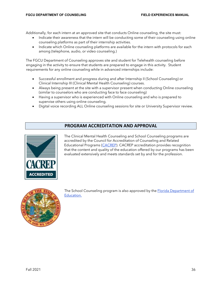Additionally, for each intern at an approved site that conducts Online counseling, the site must:

- Indicate their awareness that the intern will be conducting some of their counseling using online counseling platforms as part of their internship activities.
- Indicate which Online counseling platforms are available for the intern with protocols for each among (telephone, audio, or video counseling.)

The FGCU Department of Counseling approves site and student for Telehealth counseling before engaging in the activity to ensure that students are prepared to engage in this activity. Student requirements for any online counseling while in advanced internships include:

- Successful enrollment and progress during and after Internship II (School Counseling) or Clinical Internship III (Clinical Mental Health Counseling) courses.
- Always being present at the site with a supervisor present when conducting Online counseling (similar to counselors who are conducting face to face counseling)
- Having a supervisor who is experienced with Online counseling and who is prepared to supervise others using online counseling.
- Digital voice recording ALL Online counseling sessions for site or University Supervisor review.

# **PROGRAM ACCREDITATION AND APPROVAL**

<span id="page-35-0"></span>

The Clinical Mental Health Counseling and School Counseling programs are accredited by the Council for Accreditation of Counseling and Related Educational Programs [\(CACREP\).](http://www.cacrep.org/) CACREP accreditation provides recognition that the content and quality of the education offered by our programs has been evaluated extensively and meets standards set by and for the profession.



The School Counseling program is also approved by th[e Florida Department of](http://www.fldoe.org/) [Education.](http://www.fldoe.org/)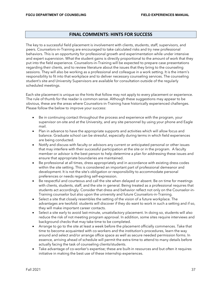# **FINAL COMMENTS: HINTS FOR SUCCESS**

<span id="page-36-0"></span>The key to a successful field placement is involvement with clients, students, staff, supervisors, and peers. Counselors-in-Training are encouraged to take calculated risks and try new professional behaviors. This is an opportunity for professional growth and experimentation while under intensive and expert supervision. What the student gains is directly proportional to the amount of work that they put into the field experience. Counselors-in-Training will be expected to prepare case presentations regarding their clients, and to review literature about the issues that they bring to the counseling sessions. They will also be working as a professional and colleague in a work setting. It is the intern's responsibility to fit into that workplace and to deliver necessary counseling services. The counseling student's site and University Supervisors are available for consultation outside of the regularly scheduled meetings.

Each site placement is unique so the hints that follow may not apply to every placement or experience. The rule of thumb for the reader is common sense. Although these suggestions may appear to be obvious, these are the areas where Counselors-in-Training have historically experienced challenges. Please follow the below to improve your success:

- Be in continuing contact throughout the process and experience with the program, your supervisor on-site and at the University, and any site personnel by using your phone and Eagle mail.
- Plan in advance to have the appropriate supports and activities which will allow focus and balance. Graduate school can be stressful, especially during terms in which field experiences are being conducted.
- Notify and discuss with faculty or advisors any current or anticipated personal or other issues that may interfere with their successful participation at the site or in the program. A faculty member or advisor is the best person to help determine a plan for addressing these issues and ensure that appropriate boundaries are maintained.
- Be professional at all times, dress appropriately and in accordance with existing dress codes within the site setting. This is considered an important part of professional demeanor and development. It is not the site's obligation or responsibility to accommodate personal preferences or needs regarding self-expression.
- Be respectful and courteous and call the site when delayed or absent. Be on time for meetings with clients, students, staff, and the site in general. Being treated as a professional requires that students act accordingly. Consider that dress and behavior reflect not only on the Counselor-in-Training counselor but also upon the university and future Counselors-in-Training.
- Select a site that closely resembles the setting of the vision of a future workplace. The advantages are twofold: students will discover if they do want to work in such a setting and if so, they will make important career contacts.
- Select a site early to avoid last-minute, unsatisfactory placement. In doing so, students will also reduce the risk of not meeting program approval. In addition, some sites require interviews and background checks that may take time to be completed.
- Arrange to go to the site at least a week before the placement officially commences. Take that time to become acquainted with co-workers and the institution's procedures, learn the way around and select and/or arrange office space as well as secure needed permission forms. In essence, arriving ahead of schedule will permit the extra time to attend to many details before actually facing the task of counseling clients/students.
- Take advantage of co-worker's expertise; these are built-in resources and but often it requires initiative in making the best use of these internship experiences.